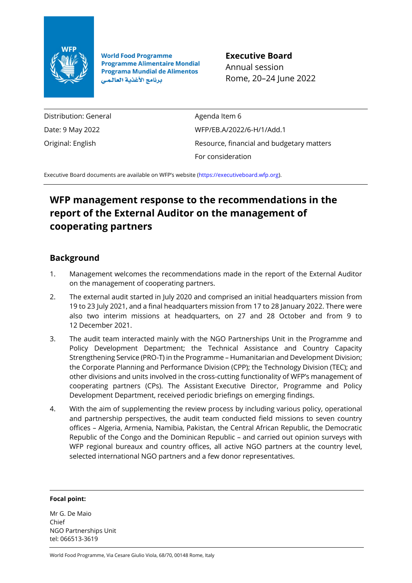

**World Food Programme Programme Alimentaire Mondial Programa Mundial de Alimentos** برنامج الأغذية العالمي

**Executive Board** Annual session Rome, 20–24 June 2022

Distribution: General Date: 9 May 2022 Original: English

Agenda Item 6 WFP/EB.A/2022/6-H/1/Add.1 Resource, financial and budgetary matters For consideration

Executive Board documents are available on WFP's website ([https://executiveboard.wfp.org\)](https://executiveboard.wfp.org/).

# **WFP management response to the recommendations in the report of the External Auditor on the management of cooperating partners**

## **Background**

- 1. Management welcomes the recommendations made in the report of the External Auditor on the management of cooperating partners.
- 2. The external audit started in July 2020 and comprised an initial headquarters mission from 19 to 23 July 2021, and a final headquarters mission from 17 to 28 January 2022. There were also two interim missions at headquarters, on 27 and 28 October and from 9 to 12 December 2021.
- 3. The audit team interacted mainly with the NGO Partnerships Unit in the Programme and Policy Development Department; the Technical Assistance and Country Capacity Strengthening Service (PRO-T) in the Programme – Humanitarian and Development Division; the Corporate Planning and Performance Division (CPP); the Technology Division (TEC); and other divisions and units involved in the cross-cutting functionality of WFP's management of cooperating partners (CPs). The Assistant Executive Director, Programme and Policy Development Department, received periodic briefings on emerging findings.
- 4. With the aim of supplementing the review process by including various policy, operational and partnership perspectives, the audit team conducted field missions to seven country offices – Algeria, Armenia, Namibia, Pakistan, the Central African Republic, the Democratic Republic of the Congo and the Dominican Republic – and carried out opinion surveys with WFP regional bureaux and country offices, all active NGO partners at the country level, selected international NGO partners and a few donor representatives.

#### **Focal point:**

Mr G. De Maio Chief NGO Partnerships Unit tel: 066513-3619

World Food Programme, Via Cesare Giulio Viola, 68/70, 00148 Rome, Italy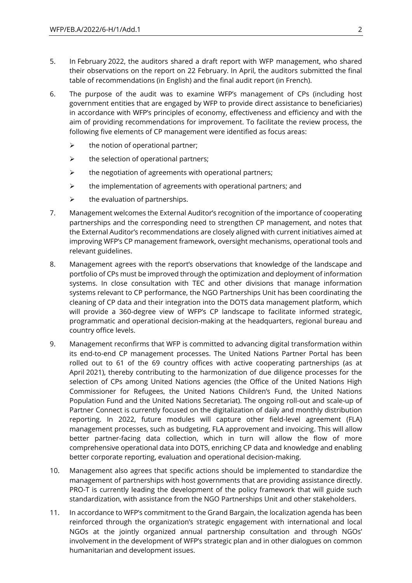- 5. In February 2022, the auditors shared a draft report with WFP management, who shared their observations on the report on 22 February. In April, the auditors submitted the final table of recommendations (in English) and the final audit report (in French).
- 6. The purpose of the audit was to examine WFP's management of CPs (including host government entities that are engaged by WFP to provide direct assistance to beneficiaries) in accordance with WFP's principles of economy, effectiveness and efficiency and with the aim of providing recommendations for improvement. To facilitate the review process, the following five elements of CP management were identified as focus areas:
	- $\triangleright$  the notion of operational partner;
	- $\triangleright$  the selection of operational partners;
	- $\triangleright$  the negotiation of agreements with operational partners;
	- $\triangleright$  the implementation of agreements with operational partners; and
	- $\triangleright$  the evaluation of partnerships.
- 7. Management welcomes the External Auditor's recognition of the importance of cooperating partnerships and the corresponding need to strengthen CP management, and notes that the External Auditor's recommendations are closely aligned with current initiatives aimed at improving WFP's CP management framework, oversight mechanisms, operational tools and relevant guidelines.
- 8. Management agrees with the report's observations that knowledge of the landscape and portfolio of CPs must be improved through the optimization and deployment of information systems. In close consultation with TEC and other divisions that manage information systems relevant to CP performance, the NGO Partnerships Unit has been coordinating the cleaning of CP data and their integration into the DOTS data management platform, which will provide a 360-degree view of WFP's CP landscape to facilitate informed strategic, programmatic and operational decision-making at the headquarters, regional bureau and country office levels.
- 9. Management reconfirms that WFP is committed to advancing digital transformation within its end-to-end CP management processes. The United Nations Partner Portal has been rolled out to 61 of the 69 country offices with active cooperating partnerships (as at April 2021), thereby contributing to the harmonization of due diligence processes for the selection of CPs among United Nations agencies (the Office of the United Nations High Commissioner for Refugees, the United Nations Children's Fund, the United Nations Population Fund and the United Nations Secretariat). The ongoing roll-out and scale-up of Partner Connect is currently focused on the digitalization of daily and monthly distribution reporting. In 2022, future modules will capture other field-level agreement (FLA) management processes, such as budgeting, FLA approvement and invoicing. This will allow better partner-facing data collection, which in turn will allow the flow of more comprehensive operational data into DOTS, enriching CP data and knowledge and enabling better corporate reporting, evaluation and operational decision-making.
- 10. Management also agrees that specific actions should be implemented to standardize the management of partnerships with host governments that are providing assistance directly. PRO-T is currently leading the development of the policy framework that will guide such standardization, with assistance from the NGO Partnerships Unit and other stakeholders.
- 11. In accordance to WFP's commitment to the Grand Bargain, the localization agenda has been reinforced through the organization's strategic engagement with international and local NGOs at the jointly organized annual partnership consultation and through NGOs' involvement in the development of WFP's strategic plan and in other dialogues on common humanitarian and development issues.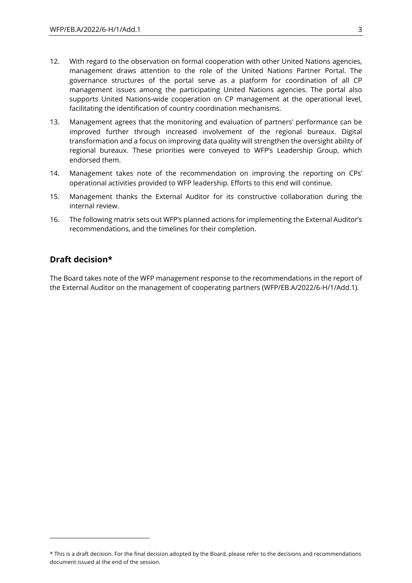- 12. With regard to the observation on formal cooperation with other United Nations agencies, management draws attention to the role of the United Nations Partner Portal. The governance structures of the portal serve as a platform for coordination of all CP management issues among the participating United Nations agencies. The portal also supports United Nations-wide cooperation on CP management at the operational level, facilitating the identification of country coordination mechanisms.
- 13. Management agrees that the monitoring and evaluation of partners' performance can be improved further through increased involvement of the regional bureaux. Digital transformation and a focus on improving data quality will strengthen the oversight ability of regional bureaux. These priorities were conveyed to WFP's Leadership Group, which endorsed them.
- 14. Management takes note of the recommendation on improving the reporting on CPs' operational activities provided to WFP leadership. Efforts to this end will continue.
- 15. Management thanks the External Auditor for its constructive collaboration during the internal review.
- 16. The following matrix sets out WFP's planned actions for implementing the External Auditor's recommendations, and the timelines for their completion.

### **Draft decision\***

The Board takes note of the WFP management response to the recommendations in the report of the External Auditor on the management of cooperating partners (WFP/EB.A/2022/6-H/1/Add.1).

<sup>\*</sup> This is a draft decision. For the final decision adopted by the Board, please refer to the decisions and recommendations document issued at the end of the session.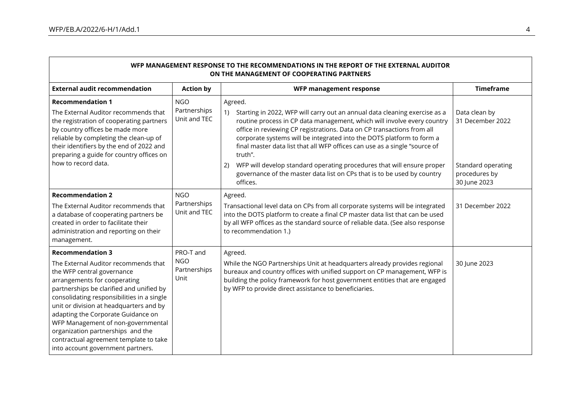| WFP MANAGEMENT RESPONSE TO THE RECOMMENDATIONS IN THE REPORT OF THE EXTERNAL AUDITOR<br>ON THE MANAGEMENT OF COOPERATING PARTNERS                                                                                                                                                                                                                                                                                                                                  |                                                 |                                                                                                                                                                                                                                                                                                                                                                                                                                                                                                    |                                                         |
|--------------------------------------------------------------------------------------------------------------------------------------------------------------------------------------------------------------------------------------------------------------------------------------------------------------------------------------------------------------------------------------------------------------------------------------------------------------------|-------------------------------------------------|----------------------------------------------------------------------------------------------------------------------------------------------------------------------------------------------------------------------------------------------------------------------------------------------------------------------------------------------------------------------------------------------------------------------------------------------------------------------------------------------------|---------------------------------------------------------|
| <b>External audit recommendation</b>                                                                                                                                                                                                                                                                                                                                                                                                                               | <b>Action by</b>                                | WFP management response                                                                                                                                                                                                                                                                                                                                                                                                                                                                            | <b>Timeframe</b>                                        |
| <b>Recommendation 1</b><br>The External Auditor recommends that<br>the registration of cooperating partners<br>by country offices be made more<br>reliable by completing the clean-up of<br>their identifiers by the end of 2022 and<br>preparing a guide for country offices on<br>how to record data.                                                                                                                                                            | <b>NGO</b><br>Partnerships<br>Unit and TEC      | Agreed.<br>Starting in 2022, WFP will carry out an annual data cleaning exercise as a<br>1)<br>routine process in CP data management, which will involve every country<br>office in reviewing CP registrations. Data on CP transactions from all<br>corporate systems will be integrated into the DOTS platform to form a<br>final master data list that all WFP offices can use as a single "source of<br>truth".<br>WFP will develop standard operating procedures that will ensure proper<br>2) | Data clean by<br>31 December 2022<br>Standard operating |
|                                                                                                                                                                                                                                                                                                                                                                                                                                                                    |                                                 | governance of the master data list on CPs that is to be used by country<br>offices.                                                                                                                                                                                                                                                                                                                                                                                                                | procedures by<br>30 June 2023                           |
| <b>Recommendation 2</b><br>The External Auditor recommends that<br>a database of cooperating partners be<br>created in order to facilitate their<br>administration and reporting on their<br>management.                                                                                                                                                                                                                                                           | <b>NGO</b><br>Partnerships<br>Unit and TEC      | Agreed.<br>Transactional level data on CPs from all corporate systems will be integrated<br>into the DOTS platform to create a final CP master data list that can be used<br>by all WFP offices as the standard source of reliable data. (See also response<br>to recommendation 1.)                                                                                                                                                                                                               | 31 December 2022                                        |
| <b>Recommendation 3</b><br>The External Auditor recommends that<br>the WFP central governance<br>arrangements for cooperating<br>partnerships be clarified and unified by<br>consolidating responsibilities in a single<br>unit or division at headquarters and by<br>adapting the Corporate Guidance on<br>WFP Management of non-governmental<br>organization partnerships and the<br>contractual agreement template to take<br>into account government partners. | PRO-T and<br><b>NGO</b><br>Partnerships<br>Unit | Agreed.<br>While the NGO Partnerships Unit at headquarters already provides regional<br>bureaux and country offices with unified support on CP management, WFP is<br>building the policy framework for host government entities that are engaged<br>by WFP to provide direct assistance to beneficiaries.                                                                                                                                                                                          | 30 June 2023                                            |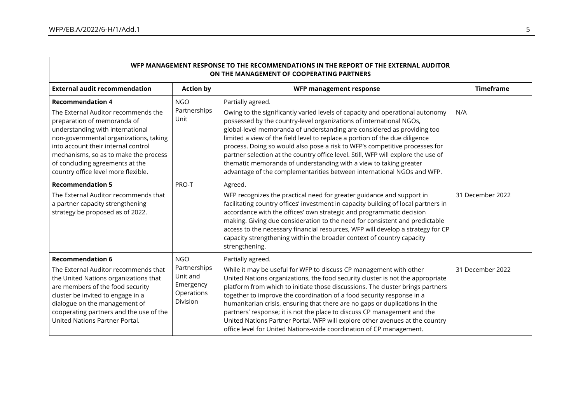| WFP MANAGEMENT RESPONSE TO THE RECOMMENDATIONS IN THE REPORT OF THE EXTERNAL AUDITOR<br>ON THE MANAGEMENT OF COOPERATING PARTNERS                                                                                                                                                                                                     |                                                                                      |                                                                                                                                                                                                                                                                                                                                                                                                                                                                                                                                                                                                                                                        |                  |
|---------------------------------------------------------------------------------------------------------------------------------------------------------------------------------------------------------------------------------------------------------------------------------------------------------------------------------------|--------------------------------------------------------------------------------------|--------------------------------------------------------------------------------------------------------------------------------------------------------------------------------------------------------------------------------------------------------------------------------------------------------------------------------------------------------------------------------------------------------------------------------------------------------------------------------------------------------------------------------------------------------------------------------------------------------------------------------------------------------|------------------|
| <b>External audit recommendation</b>                                                                                                                                                                                                                                                                                                  | <b>Action by</b>                                                                     | WFP management response                                                                                                                                                                                                                                                                                                                                                                                                                                                                                                                                                                                                                                | <b>Timeframe</b> |
| <b>Recommendation 4</b><br>The External Auditor recommends the<br>preparation of memoranda of<br>understanding with international<br>non-governmental organizations, taking<br>into account their internal control<br>mechanisms, so as to make the process<br>of concluding agreements at the<br>country office level more flexible. | <b>NGO</b><br>Partnerships<br>Unit                                                   | Partially agreed.<br>Owing to the significantly varied levels of capacity and operational autonomy<br>possessed by the country-level organizations of international NGOs,<br>global-level memoranda of understanding are considered as providing too<br>limited a view of the field level to replace a portion of the due diligence<br>process. Doing so would also pose a risk to WFP's competitive processes for<br>partner selection at the country office level. Still, WFP will explore the use of<br>thematic memoranda of understanding with a view to taking greater<br>advantage of the complementarities between international NGOs and WFP. | N/A              |
| <b>Recommendation 5</b><br>The External Auditor recommends that<br>a partner capacity strengthening<br>strategy be proposed as of 2022.                                                                                                                                                                                               | PRO-T                                                                                | Agreed.<br>WFP recognizes the practical need for greater guidance and support in<br>facilitating country offices' investment in capacity building of local partners in<br>accordance with the offices' own strategic and programmatic decision<br>making. Giving due consideration to the need for consistent and predictable<br>access to the necessary financial resources, WFP will develop a strategy for CP<br>capacity strengthening within the broader context of country capacity<br>strengthening.                                                                                                                                            | 31 December 2022 |
| <b>Recommendation 6</b><br>The External Auditor recommends that<br>the United Nations organizations that<br>are members of the food security<br>cluster be invited to engage in a<br>dialogue on the management of<br>cooperating partners and the use of the<br>United Nations Partner Portal.                                       | <b>NGO</b><br>Partnerships<br>Unit and<br>Emergency<br>Operations<br><b>Division</b> | Partially agreed.<br>While it may be useful for WFP to discuss CP management with other<br>United Nations organizations, the food security cluster is not the appropriate<br>platform from which to initiate those discussions. The cluster brings partners<br>together to improve the coordination of a food security response in a<br>humanitarian crisis, ensuring that there are no gaps or duplications in the<br>partners' response; it is not the place to discuss CP management and the<br>United Nations Partner Portal. WFP will explore other avenues at the country<br>office level for United Nations-wide coordination of CP management. | 31 December 2022 |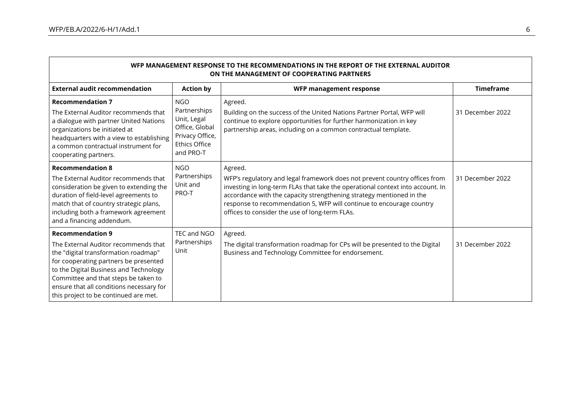| WFP MANAGEMENT RESPONSE TO THE RECOMMENDATIONS IN THE REPORT OF THE EXTERNAL AUDITOR<br>ON THE MANAGEMENT OF COOPERATING PARTNERS                                                                                                                                                                                       |                                                                                                                     |                                                                                                                                                                                                                                                                                                                                                                           |                  |
|-------------------------------------------------------------------------------------------------------------------------------------------------------------------------------------------------------------------------------------------------------------------------------------------------------------------------|---------------------------------------------------------------------------------------------------------------------|---------------------------------------------------------------------------------------------------------------------------------------------------------------------------------------------------------------------------------------------------------------------------------------------------------------------------------------------------------------------------|------------------|
| <b>External audit recommendation</b>                                                                                                                                                                                                                                                                                    | <b>Action by</b>                                                                                                    | WFP management response                                                                                                                                                                                                                                                                                                                                                   | <b>Timeframe</b> |
| <b>Recommendation 7</b><br>The External Auditor recommends that<br>a dialogue with partner United Nations<br>organizations be initiated at<br>headquarters with a view to establishing<br>a common contractual instrument for<br>cooperating partners.                                                                  | <b>NGO</b><br>Partnerships<br>Unit, Legal<br>Office, Global<br>Privacy Office,<br><b>Ethics Office</b><br>and PRO-T | Agreed.<br>Building on the success of the United Nations Partner Portal, WFP will<br>continue to explore opportunities for further harmonization in key<br>partnership areas, including on a common contractual template.                                                                                                                                                 | 31 December 2022 |
| <b>Recommendation 8</b><br>The External Auditor recommends that<br>consideration be given to extending the<br>duration of field-level agreements to<br>match that of country strategic plans,<br>including both a framework agreement<br>and a financing addendum.                                                      | <b>NGO</b><br>Partnerships<br>Unit and<br>PRO-T                                                                     | Agreed.<br>WFP's regulatory and legal framework does not prevent country offices from<br>investing in long-term FLAs that take the operational context into account. In<br>accordance with the capacity strengthening strategy mentioned in the<br>response to recommendation 5, WFP will continue to encourage country<br>offices to consider the use of long-term FLAs. | 31 December 2022 |
| <b>Recommendation 9</b><br>The External Auditor recommends that<br>the "digital transformation roadmap"<br>for cooperating partners be presented<br>to the Digital Business and Technology<br>Committee and that steps be taken to<br>ensure that all conditions necessary for<br>this project to be continued are met. | TEC and NGO<br>Partnerships<br>Unit                                                                                 | Agreed.<br>The digital transformation roadmap for CPs will be presented to the Digital<br>Business and Technology Committee for endorsement.                                                                                                                                                                                                                              | 31 December 2022 |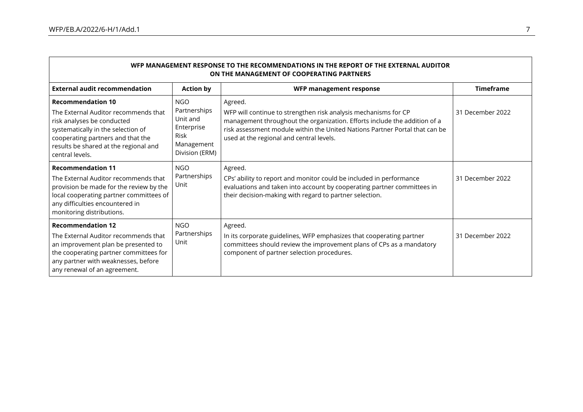| WFP MANAGEMENT RESPONSE TO THE RECOMMENDATIONS IN THE REPORT OF THE EXTERNAL AUDITOR<br>ON THE MANAGEMENT OF COOPERATING PARTNERS                                                                                                     |                                                                                              |                                                                                                                                                                                                                                                                                    |                  |
|---------------------------------------------------------------------------------------------------------------------------------------------------------------------------------------------------------------------------------------|----------------------------------------------------------------------------------------------|------------------------------------------------------------------------------------------------------------------------------------------------------------------------------------------------------------------------------------------------------------------------------------|------------------|
| <b>External audit recommendation</b>                                                                                                                                                                                                  | <b>Action by</b>                                                                             | WFP management response                                                                                                                                                                                                                                                            | <b>Timeframe</b> |
| <b>Recommendation 10</b><br>The External Auditor recommends that<br>risk analyses be conducted<br>systematically in the selection of<br>cooperating partners and that the<br>results be shared at the regional and<br>central levels. | <b>NGO</b><br>Partnerships<br>Unit and<br>Enterprise<br>Risk<br>Management<br>Division (ERM) | Agreed.<br>WFP will continue to strengthen risk analysis mechanisms for CP<br>management throughout the organization. Efforts include the addition of a<br>risk assessment module within the United Nations Partner Portal that can be<br>used at the regional and central levels. | 31 December 2022 |
| <b>Recommendation 11</b><br>The External Auditor recommends that<br>provision be made for the review by the<br>local cooperating partner committees of<br>any difficulties encountered in<br>monitoring distributions.                | <b>NGO</b><br>Partnerships<br>Unit                                                           | Agreed.<br>CPs' ability to report and monitor could be included in performance<br>evaluations and taken into account by cooperating partner committees in<br>their decision-making with regard to partner selection.                                                               | 31 December 2022 |
| <b>Recommendation 12</b><br>The External Auditor recommends that<br>an improvement plan be presented to<br>the cooperating partner committees for<br>any partner with weaknesses, before<br>any renewal of an agreement.              | <b>NGO</b><br>Partnerships<br>Unit                                                           | Agreed.<br>In its corporate guidelines, WFP emphasizes that cooperating partner<br>committees should review the improvement plans of CPs as a mandatory<br>component of partner selection procedures.                                                                              | 31 December 2022 |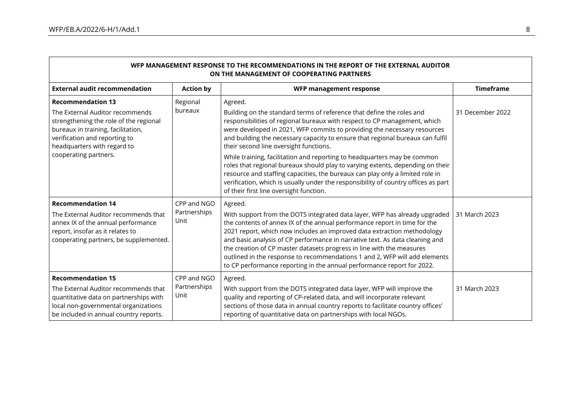| WFP MANAGEMENT RESPONSE TO THE RECOMMENDATIONS IN THE REPORT OF THE EXTERNAL AUDITOR<br>ON THE MANAGEMENT OF COOPERATING PARTNERS                                                                                                    |                                     |                                                                                                                                                                                                                                                                                                                                                                                                                                                                                                                                                                                                                                                                                                                                                       |                  |
|--------------------------------------------------------------------------------------------------------------------------------------------------------------------------------------------------------------------------------------|-------------------------------------|-------------------------------------------------------------------------------------------------------------------------------------------------------------------------------------------------------------------------------------------------------------------------------------------------------------------------------------------------------------------------------------------------------------------------------------------------------------------------------------------------------------------------------------------------------------------------------------------------------------------------------------------------------------------------------------------------------------------------------------------------------|------------------|
| <b>External audit recommendation</b>                                                                                                                                                                                                 | <b>Action by</b>                    | WFP management response                                                                                                                                                                                                                                                                                                                                                                                                                                                                                                                                                                                                                                                                                                                               | <b>Timeframe</b> |
| <b>Recommendation 13</b><br>The External Auditor recommends<br>strengthening the role of the regional<br>bureaux in training, facilitation,<br>verification and reporting to<br>headquarters with regard to<br>cooperating partners. | Regional<br>bureaux                 | Agreed.<br>Building on the standard terms of reference that define the roles and<br>responsibilities of regional bureaux with respect to CP management, which<br>were developed in 2021, WFP commits to providing the necessary resources<br>and building the necessary capacity to ensure that regional bureaux can fulfil<br>their second line oversight functions.<br>While training, facilitation and reporting to headquarters may be common<br>roles that regional bureaux should play to varying extents, depending on their<br>resource and staffing capacities, the bureaux can play only a limited role in<br>verification, which is usually under the responsibility of country offices as part<br>of their first line oversight function. | 31 December 2022 |
| <b>Recommendation 14</b><br>The External Auditor recommends that<br>annex IX of the annual performance<br>report, insofar as it relates to<br>cooperating partners, be supplemented.                                                 | CPP and NGO<br>Partnerships<br>Unit | Agreed.<br>With support from the DOTS integrated data layer, WFP has already upgraded<br>the contents of annex IX of the annual performance report in time for the<br>2021 report, which now includes an improved data extraction methodology<br>and basic analysis of CP performance in narrative text. As data cleaning and<br>the creation of CP master datasets progress in line with the measures<br>outlined in the response to recommendations 1 and 2, WFP will add elements<br>to CP performance reporting in the annual performance report for 2022.                                                                                                                                                                                        | 31 March 2023    |
| <b>Recommendation 15</b><br>The External Auditor recommends that<br>quantitative data on partnerships with<br>local non-governmental organizations<br>be included in annual country reports.                                         | CPP and NGO<br>Partnerships<br>Unit | Agreed.<br>With support from the DOTS integrated data layer, WFP will improve the<br>quality and reporting of CP-related data, and will incorporate relevant<br>sections of those data in annual country reports to facilitate country offices'<br>reporting of quantitative data on partnerships with local NGOs.                                                                                                                                                                                                                                                                                                                                                                                                                                    | 31 March 2023    |